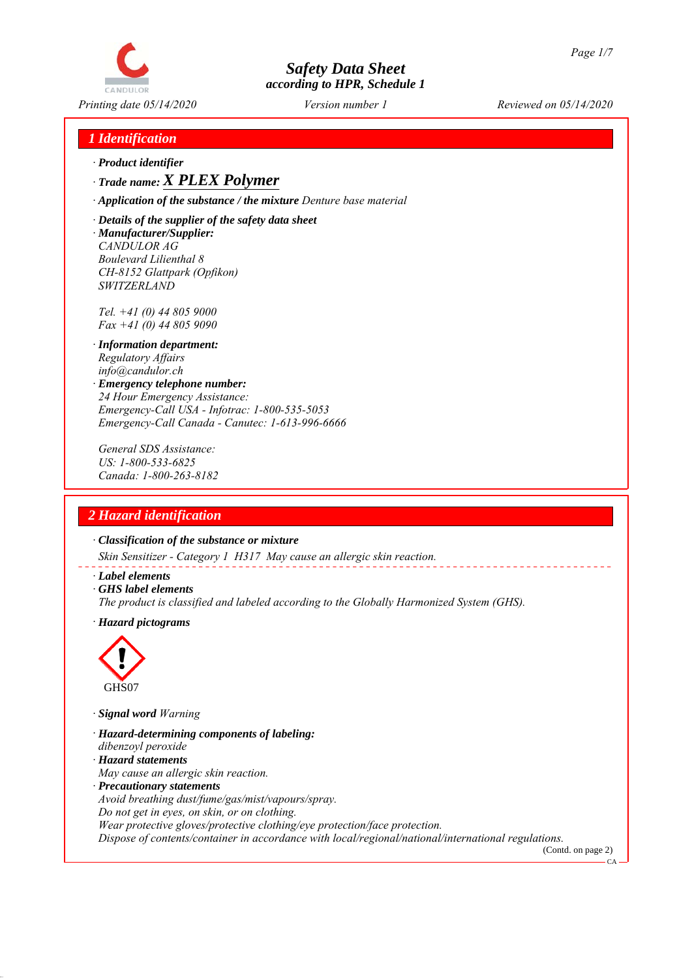

## *1 Identification*

*ꞏ Product identifier*

*ꞏ Trade name: X PLEX Polymer*

*ꞏ Application of the substance / the mixture Denture base material*

*ꞏ Details of the supplier of the safety data sheet ꞏ Manufacturer/Supplier: CANDULOR AG Boulevard Lilienthal 8 CH-8152 Glattpark (Opfikon) SWITZERLAND*

*Tel. +41 (0) 44 805 9000 Fax +41 (0) 44 805 9090*

- *ꞏ Information department: Regulatory Affairs info@candulor.ch*
- *ꞏ Emergency telephone number: 24 Hour Emergency Assistance: Emergency-Call USA - Infotrac: 1-800-535-5053 Emergency-Call Canada - Canutec: 1-613-996-6666*

*General SDS Assistance: US: 1-800-533-6825 Canada: 1-800-263-8182*

## *2 Hazard identification*

*ꞏ Classification of the substance or mixture*

*Skin Sensitizer - Category 1 H317 May cause an allergic skin reaction.*

- *ꞏ Label elements*
- *ꞏ GHS label elements*
- *The product is classified and labeled according to the Globally Harmonized System (GHS).*
- *ꞏ Hazard pictograms*



*ꞏ Signal word Warning*

- *ꞏ Hazard-determining components of labeling:*
- *dibenzoyl peroxide*
- *ꞏ Hazard statements*
- *May cause an allergic skin reaction.*
- *ꞏ Precautionary statements*

*Avoid breathing dust/fume/gas/mist/vapours/spray.*

*Do not get in eyes, on skin, or on clothing.*

*Wear protective gloves/protective clothing/eye protection/face protection.*

*Dispose of contents/container in accordance with local/regional/national/international regulations.* (Contd. on page 2)

 $C_A$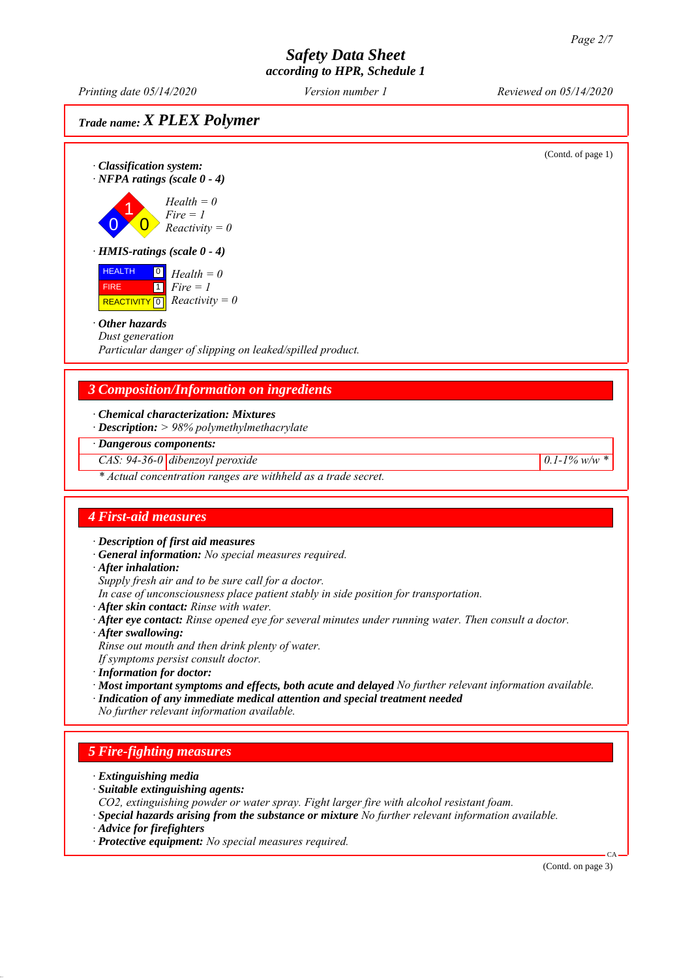*Printing date 05/14/2020 Reviewed on 05/14/2020 Version number 1*

## *Trade name: X PLEX Polymer*

(Contd. of page 1) *ꞏ Classification system: ꞏ NFPA ratings (scale 0 - 4)* 0 1  $\overline{\mathbf{0}}$ *Health = 0 Fire = 1 Reactivity = 0 ꞏ HMIS-ratings (scale 0 - 4)* **HEALTH**  FIRE  $\sqrt{\text{REACTIVITY} \cdot 0}$  *Reactivity = 0* 0 *Health = 0*  $\boxed{1}$ *Fire = 1 ꞏ Other hazards Dust generation Particular danger of slipping on leaked/spilled product. 3 Composition/Information on ingredients ꞏ Chemical characterization: Mixtures ꞏ Description: > 98% polymethylmethacrylate ꞏ Dangerous components: CAS: 94-36-0 dibenzoyl peroxide 0.1-1% w/w \* \* Actual concentration ranges are withheld as a trade secret. 4 First-aid measures ꞏ Description of first aid measures ꞏ General information: No special measures required. ꞏ After inhalation: Supply fresh air and to be sure call for a doctor. In case of unconsciousness place patient stably in side position for transportation. ꞏ After skin contact: Rinse with water. ꞏ After eye contact: Rinse opened eye for several minutes under running water. Then consult a doctor. ꞏ After swallowing: Rinse out mouth and then drink plenty of water. If symptoms persist consult doctor. ꞏ Information for doctor: ꞏ Most important symptoms and effects, both acute and delayed No further relevant information available. ꞏ Indication of any immediate medical attention and special treatment needed No further relevant information available. 5 Fire-fighting measures ꞏ Extinguishing media ꞏ Suitable extinguishing agents: CO2, extinguishing powder or water spray. Fight larger fire with alcohol resistant foam. ꞏ Special hazards arising from the substance or mixture No further relevant information available. ꞏ Advice for firefighters ꞏ Protective equipment: No special measures required.* CA (Contd. on page 3)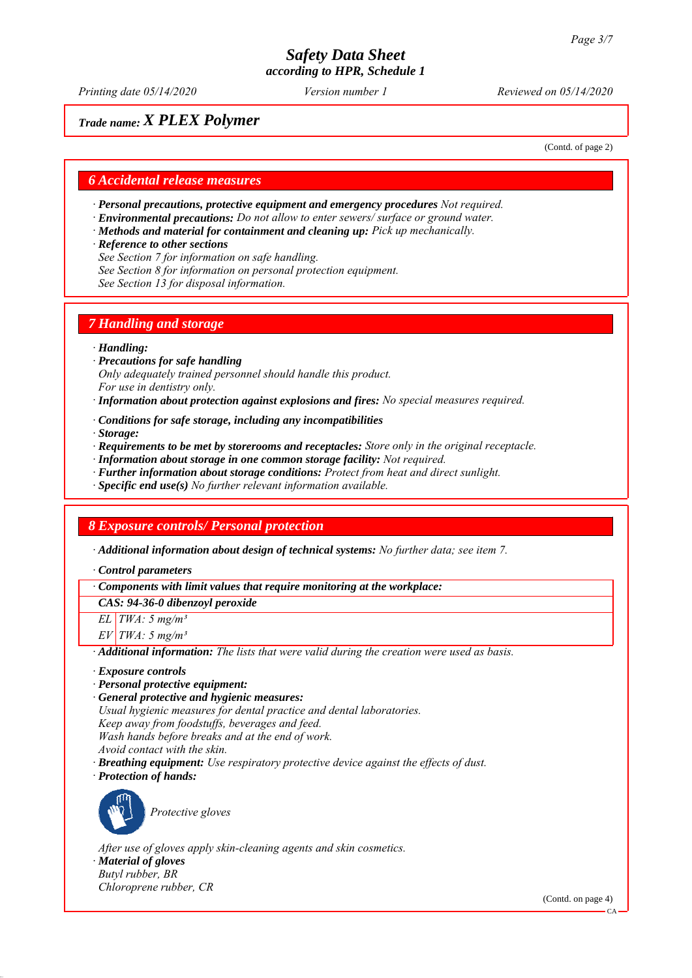*Printing date 05/14/2020 Reviewed on 05/14/2020 Version number 1*

## *Trade name: X PLEX Polymer*

(Contd. of page 2)

#### *6 Accidental release measures*

- *ꞏ Personal precautions, protective equipment and emergency procedures Not required.*
- *ꞏ Environmental precautions: Do not allow to enter sewers/ surface or ground water.*
- *ꞏ Methods and material for containment and cleaning up: Pick up mechanically.*
- *ꞏ Reference to other sections*
- *See Section 7 for information on safe handling.*
- *See Section 8 for information on personal protection equipment.*
- *See Section 13 for disposal information.*

#### *7 Handling and storage*

#### *ꞏ Handling:*

- *ꞏ Precautions for safe handling Only adequately trained personnel should handle this product. For use in dentistry only.*
- *ꞏ Information about protection against explosions and fires: No special measures required.*
- *ꞏ Conditions for safe storage, including any incompatibilities*
- *ꞏ Storage:*
- *ꞏ Requirements to be met by storerooms and receptacles: Store only in the original receptacle.*
- *ꞏ Information about storage in one common storage facility: Not required.*
- *ꞏ Further information about storage conditions: Protect from heat and direct sunlight.*
- *ꞏ Specific end use(s) No further relevant information available.*

#### *8 Exposure controls/ Personal protection*

*ꞏ Additional information about design of technical systems: No further data; see item 7.*

*ꞏ Control parameters*

#### *ꞏ Components with limit values that require monitoring at the workplace:*

*CAS: 94-36-0 dibenzoyl peroxide*

*EL TWA: 5 mg/m³*

*EV TWA: 5 mg/m³*

*ꞏ Additional information: The lists that were valid during the creation were used as basis.*

- *ꞏ Exposure controls*
- *ꞏ Personal protective equipment:*
- *ꞏ General protective and hygienic measures: Usual hygienic measures for dental practice and dental laboratories. Keep away from foodstuffs, beverages and feed. Wash hands before breaks and at the end of work. Avoid contact with the skin.*
- *ꞏ Breathing equipment: Use respiratory protective device against the effects of dust.*





*Protective gloves*

*After use of gloves apply skin-cleaning agents and skin cosmetics.*

*ꞏ Material of gloves Butyl rubber, BR*

*Chloroprene rubber, CR*

(Contd. on page 4)

 $CA$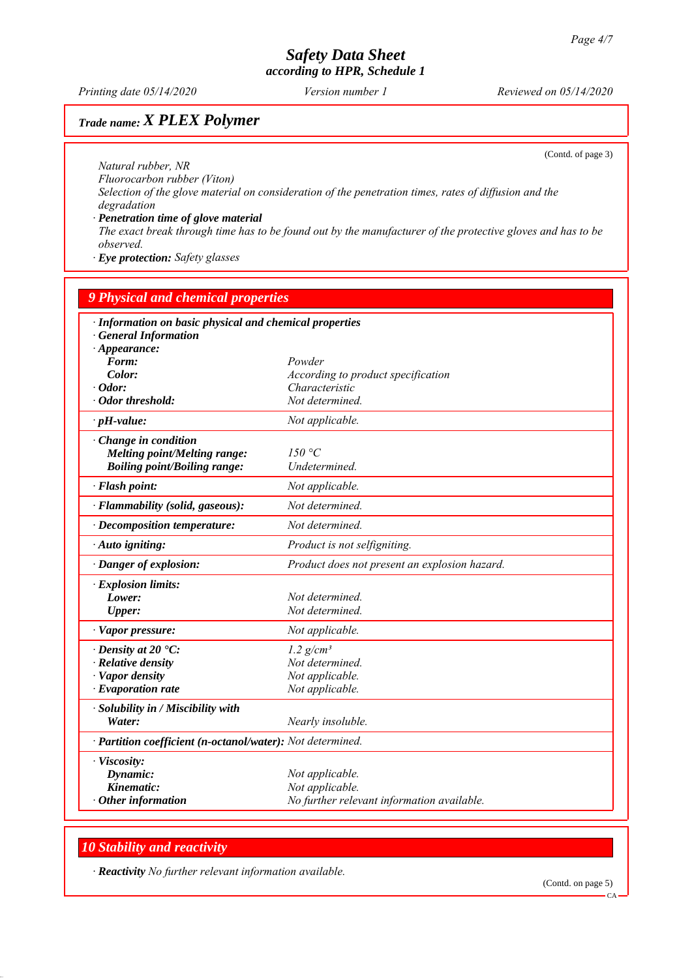*Printing date 05/14/2020 Reviewed on 05/14/2020 Version number 1*

## *Trade name: X PLEX Polymer*

(Contd. of page 3)

*Natural rubber, NR Fluorocarbon rubber (Viton) Selection of the glove material on consideration of the penetration times, rates of diffusion and the degradation ꞏ Penetration time of glove material*

*The exact break through time has to be found out by the manufacturer of the protective gloves and has to be observed.*

*ꞏ Eye protection: Safety glasses*

| <b>9 Physical and chemical properties</b>                                             |                                               |  |
|---------------------------------------------------------------------------------------|-----------------------------------------------|--|
| · Information on basic physical and chemical properties<br><b>General Information</b> |                                               |  |
| $\cdot$ Appearance:                                                                   |                                               |  |
| Form:                                                                                 | Powder                                        |  |
| Color:                                                                                | According to product specification            |  |
| $\cdot$ Odor:                                                                         | Characteristic                                |  |
| $\cdot$ Odor threshold:                                                               | Not determined.                               |  |
| $\cdot$ pH-value:                                                                     | Not applicable.                               |  |
| $\cdot$ Change in condition                                                           |                                               |  |
| Melting point/Melting range:                                                          | 150 °C                                        |  |
| <b>Boiling point/Boiling range:</b>                                                   | Undetermined.                                 |  |
| · Flash point:                                                                        | Not applicable.                               |  |
| · Flammability (solid, gaseous):                                                      | Not determined.                               |  |
| $\cdot$ Decomposition temperature:                                                    | Not determined.                               |  |
| · Auto igniting:                                                                      | Product is not selfigniting.                  |  |
| · Danger of explosion:                                                                | Product does not present an explosion hazard. |  |
| $\cdot$ Explosion limits:                                                             |                                               |  |
| Lower:                                                                                | Not determined.                               |  |
| <b>Upper:</b>                                                                         | Not determined.                               |  |
| · Vapor pressure:                                                                     | Not applicable.                               |  |
| $\cdot$ Density at 20 $\cdot$ C:                                                      | $1.2$ g/cm <sup>3</sup>                       |  |
| · Relative density                                                                    | Not determined.                               |  |
| · Vapor density                                                                       | Not applicable.                               |  |
| $\cdot$ Evaporation rate                                                              | Not applicable.                               |  |
| · Solubility in / Miscibility with                                                    |                                               |  |
| Water:                                                                                | Nearly insoluble.                             |  |
| · Partition coefficient (n-octanol/water): Not determined.                            |                                               |  |
| · Viscosity:                                                                          |                                               |  |
| Dynamic:                                                                              | Not applicable.                               |  |
| Kinematic:                                                                            | Not applicable.                               |  |
| $\cdot$ Other information                                                             | No further relevant information available.    |  |

## *10 Stability and reactivity*

*ꞏ Reactivity No further relevant information available.*

(Contd. on page 5)

CA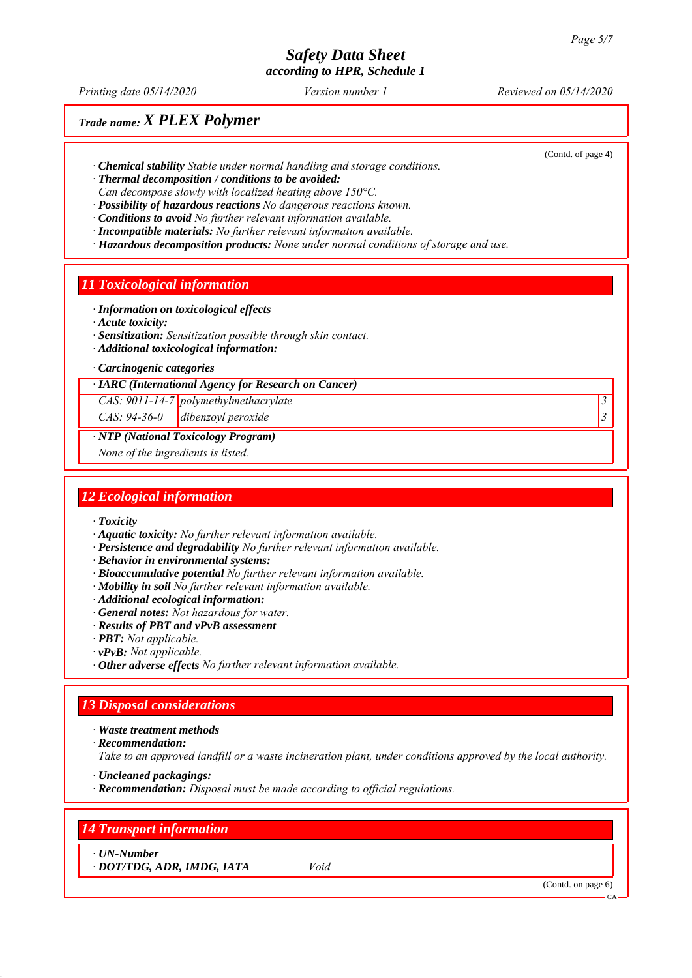*Printing date 05/14/2020 Reviewed on 05/14/2020 Version number 1*

## *Trade name: X PLEX Polymer*

(Contd. of page 4)

- *ꞏ Chemical stability Stable under normal handling and storage conditions.*
- *ꞏ Thermal decomposition / conditions to be avoided:*
- *Can decompose slowly with localized heating above 150°C.*
- *ꞏ Possibility of hazardous reactions No dangerous reactions known.*
- *ꞏ Conditions to avoid No further relevant information available.*
- *ꞏ Incompatible materials: No further relevant information available. ꞏ Hazardous decomposition products: None under normal conditions of storage and use.*

#### *11 Toxicological information*

- *ꞏ Information on toxicological effects*
- *ꞏ Acute toxicity:*
- *ꞏ Sensitization: Sensitization possible through skin contact.*
- *ꞏ Additional toxicological information:*
- *ꞏ Carcinogenic categories*

*ꞏ IARC (International Agency for Research on Cancer)*

*CAS: 9011-14-7 polymethylmethacrylate 3* 

*CAS: 94-36-0 dibenzoyl peroxide 3* 

#### *ꞏ NTP (National Toxicology Program)*

*None of the ingredients is listed.*

#### *12 Ecological information*

- *ꞏ Toxicity*
- *ꞏ Aquatic toxicity: No further relevant information available.*
- *ꞏ Persistence and degradability No further relevant information available.*
- *ꞏ Behavior in environmental systems:*
- *ꞏ Bioaccumulative potential No further relevant information available.*
- *ꞏ Mobility in soil No further relevant information available.*
- *ꞏ Additional ecological information:*
- *ꞏ General notes: Not hazardous for water.*
- *ꞏ Results of PBT and vPvB assessment*
- *ꞏ PBT: Not applicable.*
- *ꞏ vPvB: Not applicable.*
- *ꞏ Other adverse effects No further relevant information available.*

#### *13 Disposal considerations*

#### *ꞏ Waste treatment methods*

*ꞏ Recommendation:*

*Take to an approved landfill or a waste incineration plant, under conditions approved by the local authority.*

- *ꞏ Uncleaned packagings:*
- *ꞏ Recommendation: Disposal must be made according to official regulations.*

#### *14 Transport information*

*ꞏ UN-Number*

*ꞏ DOT/TDG, ADR, IMDG, IATA Void*

(Contd. on page 6)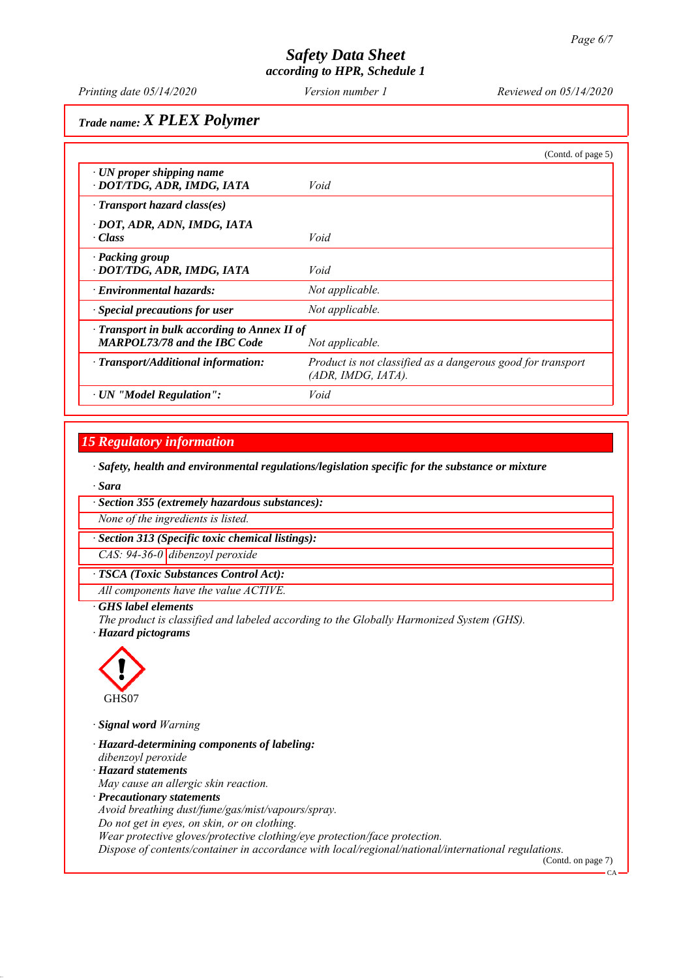# *Safety Data Sheet*

*according to HPR, Schedule 1*

*Printing date 05/14/2020 Reviewed on 05/14/2020 Version number 1*

*Trade name: X PLEX Polymer*

|                                                                                                              | (Contd. of page 5)                                                                   |
|--------------------------------------------------------------------------------------------------------------|--------------------------------------------------------------------------------------|
| $\cdot$ UN proper shipping name<br>· DOT/TDG, ADR, IMDG, IATA                                                | Void                                                                                 |
| $\cdot$ Transport hazard class(es)                                                                           |                                                                                      |
| · DOT, ADR, ADN, IMDG, IATA<br>$\cdot Class$                                                                 | Void                                                                                 |
| · Packing group<br>· DOT/TDG, ADR, IMDG, IATA                                                                | Void                                                                                 |
| · Environmental hazards:                                                                                     | Not applicable.                                                                      |
| $\cdot$ Special precautions for user                                                                         | Not applicable.                                                                      |
| $\cdot$ Transport in bulk according to Annex II of<br><b>MARPOL73/78 and the IBC Code</b><br>Not applicable. |                                                                                      |
| · Transport/Additional information:                                                                          | Product is not classified as a dangerous good for transport<br>$(ADR, IMDG, IATA)$ . |
| · UN "Model Regulation":                                                                                     | Void                                                                                 |

## *15 Regulatory information*

*ꞏ Safety, health and environmental regulations/legislation specific for the substance or mixture*

*ꞏ Sara*

*ꞏ Section 355 (extremely hazardous substances):*

*None of the ingredients is listed.*

*ꞏ Section 313 (Specific toxic chemical listings):*

*CAS: 94-36-0 dibenzoyl peroxide*

*ꞏ TSCA (Toxic Substances Control Act):*

*All components have the value ACTIVE.*

#### *ꞏ GHS label elements*

*The product is classified and labeled according to the Globally Harmonized System (GHS). ꞏ Hazard pictograms*



*ꞏ Signal word Warning*

*ꞏ Hazard-determining components of labeling: dibenzoyl peroxide ꞏ Hazard statements May cause an allergic skin reaction. ꞏ Precautionary statements Avoid breathing dust/fume/gas/mist/vapours/spray. Do not get in eyes, on skin, or on clothing. Wear protective gloves/protective clothing/eye protection/face protection. Dispose of contents/container in accordance with local/regional/national/international regulations.*

(Contd. on page 7)

 $\mathcal{C}$ <sup> $\Delta$ </sup>